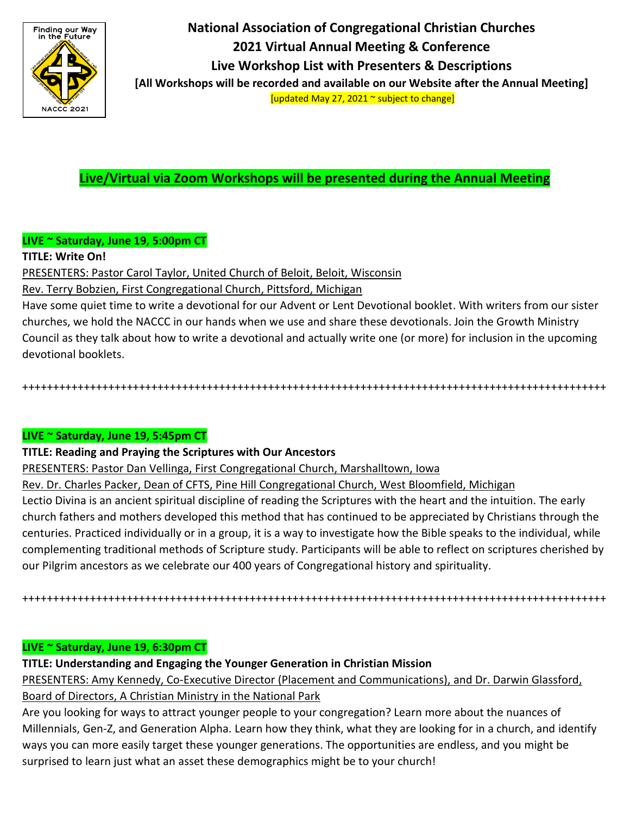

**National Association of Congregational Christian Churches 2021 Virtual Annual Meeting & Conference Live Workshop List with Presenters & Descriptions [All Workshops will be recorded and available on our Website after the Annual Meeting]**

[updated May 27, 2021 ~ subject to change]

**Live/Virtual via Zoom Workshops will be presented during the Annual Meeting**

# **LIVE ~ Saturday, June 19, 5:00pm CT**

## **TITLE: Write On!**

PRESENTERS: Pastor Carol Taylor, United Church of Beloit, Beloit, Wisconsin

Rev. Terry Bobzien, First Congregational Church, Pittsford, Michigan

Have some quiet time to write a devotional for our Advent or Lent Devotional booklet. With writers from our sister churches, we hold the NACCC in our hands when we use and share these devotionals. Join the Growth Ministry Council as they talk about how to write a devotional and actually write one (or more) for inclusion in the upcoming devotional booklets.

+++++++++++++++++++++++++++++++++++++++++++++++++++++++++++++++++++++++++++++++++++++++++++++++

# **LIVE ~ Saturday, June 19, 5:45pm CT**

## **TITLE: Reading and Praying the Scriptures with Our Ancestors**

PRESENTERS: Pastor Dan Vellinga, First Congregational Church, Marshalltown, Iowa

Rev. Dr. Charles Packer, Dean of CFTS, Pine Hill Congregational Church, West Bloomfield, Michigan

Lectio Divina is an ancient spiritual discipline of reading the Scriptures with the heart and the intuition. The early church fathers and mothers developed this method that has continued to be appreciated by Christians through the centuries. Practiced individually or in a group, it is a way to investigate how the Bible speaks to the individual, while complementing traditional methods of Scripture study. Participants will be able to reflect on scriptures cherished by our Pilgrim ancestors as we celebrate our 400 years of Congregational history and spirituality.

+++++++++++++++++++++++++++++++++++++++++++++++++++++++++++++++++++++++++++++++++++++++++++++++

## **LIVE ~ Saturday, June 19, 6:30pm CT**

**TITLE: Understanding and Engaging the Younger Generation in Christian Mission**

PRESENTERS: Amy Kennedy, Co-Executive Director (Placement and Communications), and Dr. Darwin Glassford, Board of Directors, A Christian Ministry in the National Park

Are you looking for ways to attract younger people to your congregation? Learn more about the nuances of Millennials, Gen-Z, and Generation Alpha. Learn how they think, what they are looking for in a church, and identify ways you can more easily target these younger generations. The opportunities are endless, and you might be surprised to learn just what an asset these demographics might be to your church!